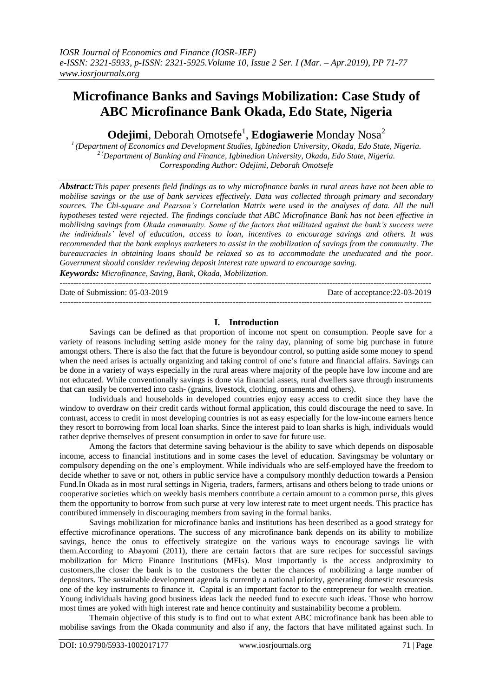# **Microfinance Banks and Savings Mobilization: Case Study of ABC Microfinance Bank Okada, Edo State, Nigeria**

**Odejimi**, Deborah Omotsefe<sup>1</sup>, **Edogiawerie** Monday Nosa<sup>2</sup>

*<sup>1</sup>(Department of Economics and Development Studies, Igbinedion University, Okada, Edo State, Nigeria. 2 (Department of Banking and Finance, Igbinedion University, Okada, Edo State, Nigeria. Corresponding Author: Odejimi, Deborah Omotsefe*

*Abstract:This paper presents field findings as to why microfinance banks in rural areas have not been able to mobilise savings or the use of bank services effectively. Data was collected through primary and secondary sources. The Chi-square and Pearson's Correlation Matrix were used in the analyses of data. All the null hypotheses tested were rejected. The findings conclude that ABC Microfinance Bank has not been effective in mobilising savings from Okada community. Some of the factors that militated against the bank's success were the individuals' level of education, access to loan, incentives to encourage savings and others. It was recommended that the bank employs marketers to assist in the mobilization of savings from the community. The bureaucracies in obtaining loans should be relaxed so as to accommodate the uneducated and the poor. Government should consider reviewing deposit interest rate upward to encourage saving.*

*Keywords: Microfinance, Saving, Bank, Okada, Mobilization.* ---------------------------------------------------------------------------------------------------------------------------------------

Date of Submission: 05-03-2019 Date of acceptance:22-03-2019

# **I. Introduction**

---------------------------------------------------------------------------------------------------------------------------------------

Savings can be defined as that proportion of income not spent on consumption. People save for a variety of reasons including setting aside money for the rainy day, planning of some big purchase in future amongst others. There is also the fact that the future is beyondour control, so putting aside some money to spend when the need arises is actually organizing and taking control of one's future and financial affairs. Savings can be done in a variety of ways especially in the rural areas where majority of the people have low income and are not educated. While conventionally savings is done via financial assets, rural dwellers save through instruments that can easily be converted into cash- (grains, livestock, clothing, ornaments and others).

Individuals and households in developed countries enjoy easy access to credit since they have the window to overdraw on their credit cards without formal application, this could discourage the need to save. In contrast, access to credit in most developing countries is not as easy especially for the low-income earners hence they resort to borrowing from local loan sharks. Since the interest paid to loan sharks is high, individuals would rather deprive themselves of present consumption in order to save for future use.

Among the factors that determine saving behaviour is the ability to save which depends on disposable income, access to financial institutions and in some cases the level of education. Savingsmay be voluntary or compulsory depending on the one's employment. While individuals who are self-employed have the freedom to decide whether to save or not, others in public service have a compulsory monthly deduction towards a Pension Fund.In Okada as in most rural settings in Nigeria, traders, farmers, artisans and others belong to trade unions or cooperative societies which on weekly basis members contribute a certain amount to a common purse, this gives them the opportunity to borrow from such purse at very low interest rate to meet urgent needs. This practice has contributed immensely in discouraging members from saving in the formal banks.

Savings mobilization for microfinance banks and institutions has been described as a good strategy for effective microfinance operations. The success of any microfinance bank depends on its ability to mobilize savings, hence the onus to effectively strategize on the various ways to encourage savings lie with them.According to Abayomi (2011), there are certain factors that are sure recipes for successful savings mobilization for Micro Finance Institutions (MFIs). Most importantly is the access andproximity to customers,the closer the bank is to the customers the better the chances of mobilizing a large number of depositors. The sustainable development agenda is currently a national priority, generating domestic resourcesis one of the key instruments to finance it. Capital is an important factor to the entrepreneur for wealth creation. Young individuals having good business ideas lack the needed fund to execute such ideas. Those who borrow most times are yoked with high interest rate and hence continuity and sustainability become a problem.

Themain objective of this study is to find out to what extent ABC microfinance bank has been able to mobilise savings from the Okada community and also if any, the factors that have militated against such. In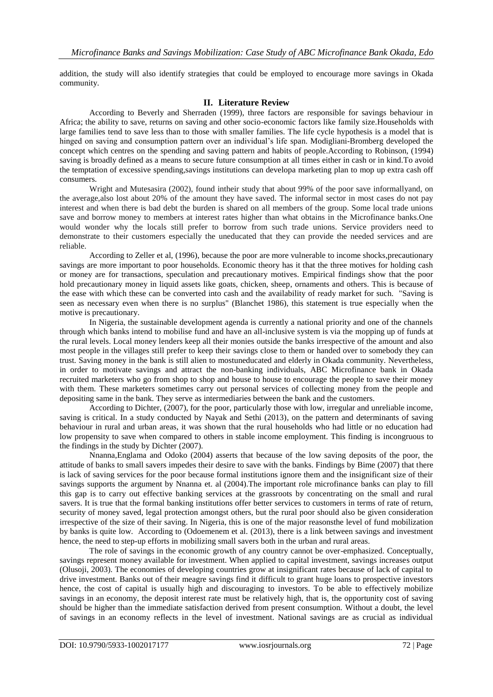addition, the study will also identify strategies that could be employed to encourage more savings in Okada community.

# **II. Literature Review**

According to Beverly and Sherraden (1999), three factors are responsible for savings behaviour in Africa; the ability to save, returns on saving and other socio-economic factors like family size.Households with large families tend to save less than to those with smaller families. The life cycle hypothesis is a model that is hinged on saving and consumption pattern over an individual's life span. Modigliani-Bromberg developed the concept which centres on the spending and saving pattern and habits of people.According to Robinson, (1994) saving is broadly defined as a means to secure future consumption at all times either in cash or in kind.To avoid the temptation of excessive spending,savings institutions can developa marketing plan to mop up extra cash off consumers.

Wright and Mutesasira (2002), found intheir study that about 99% of the poor save informallyand, on the average,also lost about 20% of the amount they have saved. The informal sector in most cases do not pay interest and when there is bad debt the burden is shared on all members of the group. Some local trade unions save and borrow money to members at interest rates higher than what obtains in the Microfinance banks.One would wonder why the locals still prefer to borrow from such trade unions. Service providers need to demonstrate to their customers especially the uneducated that they can provide the needed services and are reliable.

According to Zeller et al, (1996), because the poor are more vulnerable to income shocks,precautionary savings are more important to poor households. Economic theory has it that the three motives for holding cash or money are for transactions, speculation and precautionary motives. Empirical findings show that the poor hold precautionary money in liquid assets like goats, chicken, sheep, ornaments and others. This is because of the ease with which these can be converted into cash and the availability of ready market for such. "Saving is seen as necessary even when there is no surplus" (Blanchet 1986), this statement is true especially when the motive is precautionary.

In Nigeria, the sustainable development agenda is currently a national priority and one of the channels through which banks intend to mobilise fund and have an all-inclusive system is via the mopping up of funds at the rural levels. Local money lenders keep all their monies outside the banks irrespective of the amount and also most people in the villages still prefer to keep their savings close to them or handed over to somebody they can trust. Saving money in the bank is still alien to mostuneducated and elderly in Okada community. Nevertheless, in order to motivate savings and attract the non-banking individuals, ABC Microfinance bank in Okada recruited marketers who go from shop to shop and house to house to encourage the people to save their money with them. These marketers sometimes carry out personal services of collecting money from the people and depositing same in the bank. They serve as intermediaries between the bank and the customers.

According to Dichter, (2007), for the poor, particularly those with low, irregular and unreliable income, saving is critical. In a study conducted by Nayak and Sethi (2013), on the pattern and determinants of saving behaviour in rural and urban areas, it was shown that the rural households who had little or no education had low propensity to save when compared to others in stable income employment. This finding is incongruous to the findings in the study by Dichter (2007).

Nnanna,Englama and Odoko (2004) asserts that because of the low saving deposits of the poor, the attitude of banks to small savers impedes their desire to save with the banks. Findings by Bime (2007) that there is lack of saving services for the poor because formal institutions ignore them and the insignificant size of their savings supports the argument by Nnanna et. al (2004). The important role microfinance banks can play to fill this gap is to carry out effective banking services at the grassroots by concentrating on the small and rural savers. It is true that the formal banking institutions offer better services to customers in terms of rate of return, security of money saved, legal protection amongst others, but the rural poor should also be given consideration irrespective of the size of their saving. In Nigeria, this is one of the major reasonsthe level of fund mobilization by banks is quite low. According to (Odoemenem et al. (2013), there is a link between savings and investment hence, the need to step-up efforts in mobilizing small savers both in the urban and rural areas.

The role of savings in the economic growth of any country cannot be over-emphasized. Conceptually, savings represent money available for investment. When applied to capital investment, savings increases output (Olusoji, 2003). The economies of developing countries grow at insignificant rates because of lack of capital to drive investment. Banks out of their meagre savings find it difficult to grant huge loans to prospective investors hence, the cost of capital is usually high and discouraging to investors. To be able to effectively mobilize savings in an economy, the deposit interest rate must be relatively high, that is, the opportunity cost of saving should be higher than the immediate satisfaction derived from present consumption. Without a doubt, the level of savings in an economy reflects in the level of investment. National savings are as crucial as individual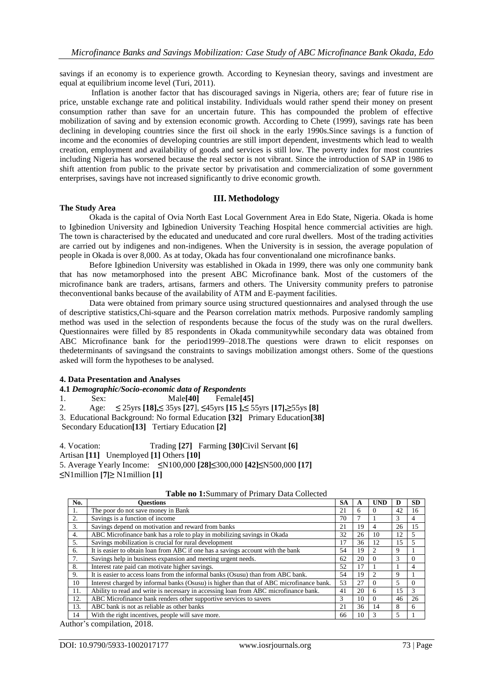savings if an economy is to experience growth. According to Keynesian theory, savings and investment are equal at equilibrium income level (Turi, 2011).

Inflation is another factor that has discouraged savings in Nigeria, others are; fear of future rise in price, unstable exchange rate and political instability. Individuals would rather spend their money on present consumption rather than save for an uncertain future. This has compounded the problem of effective mobilization of saving and by extension economic growth. According to Chete (1999), savings rate has been declining in developing countries since the first oil shock in the early 1990s.Since savings is a function of income and the economies of developing countries are still import dependent, investments which lead to wealth creation, employment and availability of goods and services is still low. The poverty index for most countries including Nigeria has worsened because the real sector is not vibrant. Since the introduction of SAP in 1986 to shift attention from public to the private sector by privatisation and commercialization of some government enterprises, savings have not increased significantly to drive economic growth.

#### **III. Methodology**

#### **The Study Area**

Okada is the capital of Ovia North East Local Government Area in Edo State, Nigeria. Okada is home to Igbinedion University and Igbinedion University Teaching Hospital hence commercial activities are high. The town is characterised by the educated and uneducated and core rural dwellers. Most of the trading activities are carried out by indigenes and non-indigenes. When the University is in session, the average population of people in Okada is over 8,000. As at today, Okada has four conventionaland one microfinance banks.

Before Igbinedion University was established in Okada in 1999, there was only one community bank that has now metamorphosed into the present ABC Microfinance bank. Most of the customers of the microfinance bank are traders, artisans, farmers and others. The University community prefers to patronise theconventional banks because of the availability of ATM and E-payment facilities.

Data were obtained from primary source using structured questionnaires and analysed through the use of descriptive statistics,Chi-square and the Pearson correlation matrix methods. Purposive randomly sampling method was used in the selection of respondents because the focus of the study was on the rural dwellers. Questionnaires were filled by 85 respondents in Okada communitywhile secondary data was obtained from ABC Microfinance bank for the period1999–2018.The questions were drawn to elicit responses on thedeterminants of savingsand the constraints to savings mobilization amongst others. Some of the questions asked will form the hypotheses to be analysed.

#### **4. Data Presentation and Analyses**

**4.1** *Demographic/Socio-economic data of Respondents*

1. Sex: Male**[40]** Female**[45]**

2. Age: **≤** 25yrs **[18],≤** 35ys **[27**], **≤**45yrs **[15 ],≤** 55yrs **[17],≥**55ys **[8]**

3. Educational Background: No formal Education **[32]** Primary Education**[38]**

Secondary Education**[13]** Tertiary Education **[2]**

4. Vocation: Trading **[27]** Farming **[30]**Civil Servant **[6]** Artisan **[11]** Unemployed **[1]** Others **[10]**  5. Average Yearly Income: **≤**N100,000 **[28]≤**300,000 **[42]≤**N500,000 **[17] ≤**N1million **[7]≥** N1million **[1]**

| No. | Ouestions                                                                                | <b>SA</b> | A  | <b>UND</b> | D             | <b>SD</b> |
|-----|------------------------------------------------------------------------------------------|-----------|----|------------|---------------|-----------|
| 1.  | The poor do not save money in Bank                                                       | 21        | 6  | $\theta$   | 42            | 16        |
| 2.  | Savings is a function of income                                                          | 70        |    |            | 3             | 4         |
| 3.  | Savings depend on motivation and reward from banks                                       | 21        | 19 | 4          | 26            | 15        |
| 4.  | ABC Microfinance bank has a role to play in mobilizing savings in Okada                  | 32        | 26 | 10         | 12            | 5         |
| 5.  | Savings mobilization is crucial for rural development                                    | 17        | 36 | 12         | 15            | 5         |
| 6.  | It is easier to obtain loan from ABC if one has a savings account with the bank          | 54        | 19 |            | Q             |           |
| 7.  | Savings help in business expansion and meeting urgent needs.                             | 62        | 20 | $\Omega$   | ⌒<br>$\Delta$ | $\Omega$  |
| 8.  | Interest rate paid can motivate higher savings.                                          | 52        | 17 |            |               | 4         |
| 9.  | It is easier to access loans from the informal banks (Osusu) than from ABC bank.         | 54        | 19 |            | 9             |           |
| 10  | Interest charged by informal banks (Osusu) is higher than that of ABC microfinance bank. | 53        | 27 | $\Omega$   | 5             | $\Omega$  |
| 11. | Ability to read and write is necessary in accessing loan from ABC microfinance bank.     | 41        | 20 | 6          | 15            | 3         |
| 12. | ABC Microfinance bank renders other supportive services to savers                        | 3         | 10 | $\Omega$   | 46            | 26        |
| 13. | ABC bank is not as reliable as other banks                                               | 21        | 36 | 14         | 8             | 6         |
| 14  | With the right incentives, people will save more.                                        | 66        | 10 |            |               |           |

### **Table no 1:**Summary of Primary Data Collected

Author's compilation, 2018.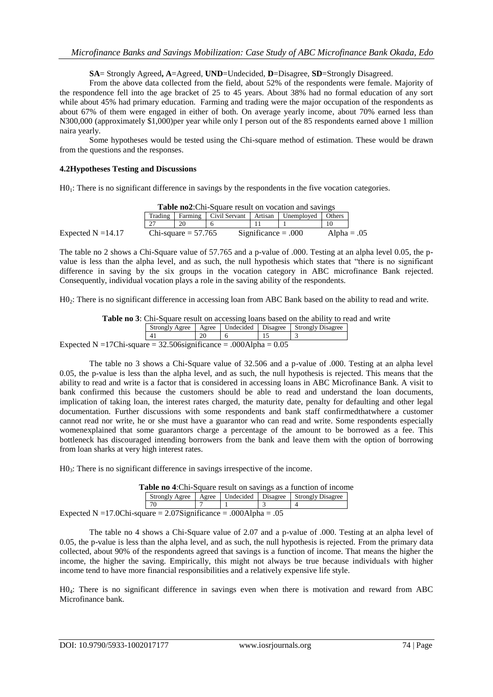**SA**= Strongly Agreed**, A**=Agreed, **UND**=Undecided, **D**=Disagree, **SD**=Strongly Disagreed.

From the above data collected from the field, about 52% of the respondents were female. Majority of the respondence fell into the age bracket of 25 to 45 years. About 38% had no formal education of any sort while about 45% had primary education. Farming and trading were the major occupation of the respondents as about 67% of them were engaged in either of both. On average yearly income, about 70% earned less than N300,000 (approximately \$1,000)per year while only I person out of the 85 respondents earned above 1 million naira yearly.

Some hypotheses would be tested using the Chi-square method of estimation. These would be drawn from the questions and the responses.

#### **4.2Hypotheses Testing and Discussions**

 $H_0$ : There is no significant difference in savings by the respondents in the five vocation categories.

| <b>Table no2:</b> Chi-Square result on vocation and savings |                                                                  |                       |                       |  |  |               |  |  |  |
|-------------------------------------------------------------|------------------------------------------------------------------|-----------------------|-----------------------|--|--|---------------|--|--|--|
|                                                             | Artisan Unemployed<br>Farming Civil Servant<br>Trading<br>Others |                       |                       |  |  |               |  |  |  |
|                                                             |                                                                  | 20                    |                       |  |  | 10            |  |  |  |
| Expected $N = 14.17$                                        |                                                                  | Chi-square $= 57.765$ | $Significance = .000$ |  |  | Alpha = $.05$ |  |  |  |

The table no 2 shows a Chi-Square value of 57.765 and a p-value of .000. Testing at an alpha level 0.05, the pvalue is less than the alpha level, and as such, the null hypothesis which states that "there is no significant difference in saving by the six groups in the vocation category in ABC microfinance Bank rejected. Consequently, individual vocation plays a role in the saving ability of the respondents.

H0<sub>2</sub>: There is no significant difference in accessing loan from ABC Bank based on the ability to read and write.

**Table no 3**: Chi-Square result on accessing loans based on the ability to read and write Strongly Agree Agree Undecided Disagree Strongly Disagree<br>  $\begin{array}{c|c}\n3\n\end{array}$ 15 3 Expected N = 17Chi-square =  $32.506$ significance =  $.000$ Alpha =  $0.05$ 

The table no 3 shows a Chi-Square value of 32.506 and a p-value of .000. Testing at an alpha level 0.05, the p-value is less than the alpha level, and as such, the null hypothesis is rejected. This means that the ability to read and write is a factor that is considered in accessing loans in ABC Microfinance Bank. A visit to bank confirmed this because the customers should be able to read and understand the loan documents, implication of taking loan, the interest rates charged, the maturity date, penalty for defaulting and other legal documentation. Further discussions with some respondents and bank staff confirmedthatwhere a customer cannot read nor write, he or she must have a guarantor who can read and write. Some respondents especially womenexplained that some guarantors charge a percentage of the amount to be borrowed as a fee. This bottleneck has discouraged intending borrowers from the bank and leave them with the option of borrowing from loan sharks at very high interest rates.

H03: There is no significant difference in savings irrespective of the income.

| <b>Table no 4:</b> Chi-Square result on savings as a function of income |    |  |  |  |  |  |  |  |  |
|-------------------------------------------------------------------------|----|--|--|--|--|--|--|--|--|
| Strongly Agree   Agree   Undecided   Disagree   Strongly Disagree       |    |  |  |  |  |  |  |  |  |
|                                                                         | 70 |  |  |  |  |  |  |  |  |
| ected N $-17.0$ Chi-square $-2.07$ Significance $-0.004$ lpha $-0.5$    |    |  |  |  |  |  |  |  |  |

Expected N =17.0Chi-square =  $2.07$ Significance = .000Alpha = .05

The table no 4 shows a Chi-Square value of 2.07 and a p-value of .000. Testing at an alpha level of 0.05, the p-value is less than the alpha level, and as such, the null hypothesis is rejected. From the primary data collected, about 90% of the respondents agreed that savings is a function of income. That means the higher the income, the higher the saving. Empirically, this might not always be true because individuals with higher income tend to have more financial responsibilities and a relatively expensive life style.

H04: There is no significant difference in savings even when there is motivation and reward from ABC Microfinance bank.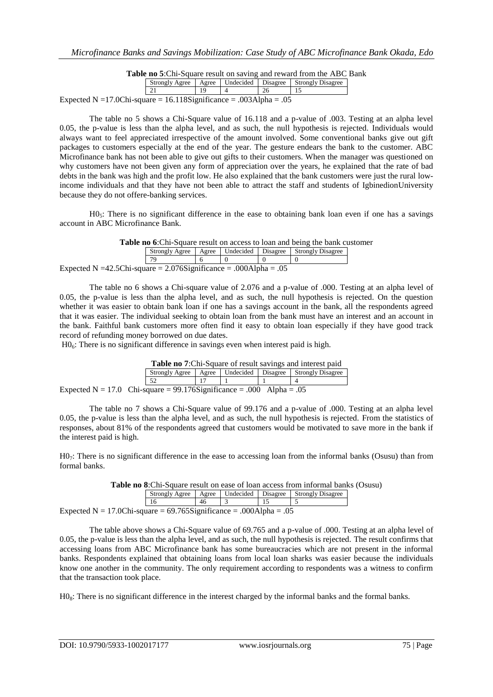| Table no 5:Chi-Square result on saving and reward from the ABC Bank |  |  |
|---------------------------------------------------------------------|--|--|
|                                                                     |  |  |

|                                                                    |  |  |  |    | Strongly Agree   Agree   Undecided   Disagree   Strongly Disagree |  |  |  |  |
|--------------------------------------------------------------------|--|--|--|----|-------------------------------------------------------------------|--|--|--|--|
|                                                                    |  |  |  | 26 |                                                                   |  |  |  |  |
| Expected N = 17.0Chi-square = 16.118Significance = .003Alpha = .05 |  |  |  |    |                                                                   |  |  |  |  |

The table no 5 shows a Chi-Square value of 16.118 and a p-value of .003. Testing at an alpha level 0.05, the p-value is less than the alpha level, and as such, the null hypothesis is rejected. Individuals would always want to feel appreciated irrespective of the amount involved. Some conventional banks give out gift packages to customers especially at the end of the year. The gesture endears the bank to the customer. ABC Microfinance bank has not been able to give out gifts to their customers. When the manager was questioned on why customers have not been given any form of appreciation over the years, he explained that the rate of bad debts in the bank was high and the profit low. He also explained that the bank customers were just the rural lowincome individuals and that they have not been able to attract the staff and students of IgbinedionUniversity because they do not offere-banking services.

 $H_0$ <sub>5</sub>: There is no significant difference in the ease to obtaining bank loan even if one has a savings account in ABC Microfinance Bank.

| Table no 6:Chi-Square result on access to loan and being the bank customer |  |  |
|----------------------------------------------------------------------------|--|--|
|----------------------------------------------------------------------------|--|--|

|                                                                           |    |  |  |  | Strongly Agree   Agree   Undecided   Disagree   Strongly Disagree |  |  |  |
|---------------------------------------------------------------------------|----|--|--|--|-------------------------------------------------------------------|--|--|--|
|                                                                           | 70 |  |  |  |                                                                   |  |  |  |
| Expected N = 42.5Chi-square = $2.076$ Significance = $.000$ Alpha = $.05$ |    |  |  |  |                                                                   |  |  |  |

The table no 6 shows a Chi-square value of 2.076 and a p-value of .000. Testing at an alpha level of 0.05, the p-value is less than the alpha level, and as such, the null hypothesis is rejected. On the question whether it was easier to obtain bank loan if one has a savings account in the bank, all the respondents agreed that it was easier. The individual seeking to obtain loan from the bank must have an interest and an account in the bank. Faithful bank customers more often find it easy to obtain loan especially if they have good track record of refunding money borrowed on due dates.

 $H0<sub>6</sub>$ : There is no significant difference in savings even when interest paid is high.

**Table no 7**:Chi-Square of result savings and interest paid Strongly Agree | Agree | Undecided | Disagree | Strongly Disagree 52 17 1 1 4 Expected N = 17.0 Chi-square =  $99.176$ Significance = .000 Alpha = .05

The table no 7 shows a Chi-Square value of 99.176 and a p-value of .000. Testing at an alpha level 0.05, the p-value is less than the alpha level, and as such, the null hypothesis is rejected. From the statistics of responses, about 81% of the respondents agreed that customers would be motivated to save more in the bank if the interest paid is high.

H07: There is no significant difference in the ease to accessing loan from the informal banks (Osusu) than from formal banks.

| <b>Table no 8:</b> Chi-Square result on ease of loan access from informal banks (Osusu) |  |    |  |  |  |  |  |  |  |
|-----------------------------------------------------------------------------------------|--|----|--|--|--|--|--|--|--|
| Strongly Agree<br>Agree   Undecided   Disagree   Strongly Disagree                      |  |    |  |  |  |  |  |  |  |
|                                                                                         |  | 46 |  |  |  |  |  |  |  |
| Expected N = 17.0Chi-square = $69.765$ Significance = .000Alpha = .05                   |  |    |  |  |  |  |  |  |  |

The table above shows a Chi-Square value of 69.765 and a p-value of .000. Testing at an alpha level of 0.05, the p-value is less than the alpha level, and as such, the null hypothesis is rejected. The result confirms that accessing loans from ABC Microfinance bank has some bureaucracies which are not present in the informal banks. Respondents explained that obtaining loans from local loan sharks was easier because the individuals know one another in the community. The only requirement according to respondents was a witness to confirm that the transaction took place.

 $H_0$ . There is no significant difference in the interest charged by the informal banks and the formal banks.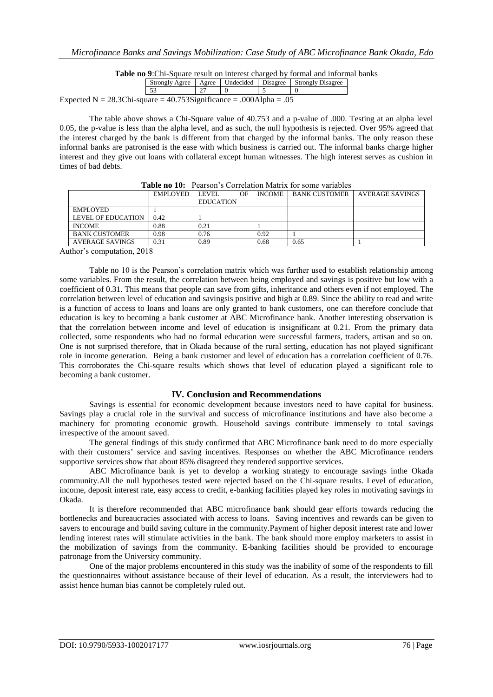**Table no 9**:Chi-Square result on interest charged by formal and informal banks

|                                                                       |  |  |  |  | Strongly Agree   Agree   Undecided   Disagree   Strongly Disagree |  |  |  |
|-----------------------------------------------------------------------|--|--|--|--|-------------------------------------------------------------------|--|--|--|
|                                                                       |  |  |  |  |                                                                   |  |  |  |
| Expected N = 28.3Chi-square = $40.753$ Significance = .000Alpha = .05 |  |  |  |  |                                                                   |  |  |  |

The table above shows a Chi-Square value of 40.753 and a p-value of .000. Testing at an alpha level 0.05, the p-value is less than the alpha level, and as such, the null hypothesis is rejected. Over 95% agreed that the interest charged by the bank is different from that charged by the informal banks. The only reason these informal banks are patronised is the ease with which business is carried out. The informal banks charge higher interest and they give out loans with collateral except human witnesses. The high interest serves as cushion in times of bad debts.

|                      | EMPLOYED | <b>LEVEL</b><br><b>EDUCATION</b> | OF | <b>INCOME</b> | BANK CUSTOMER | AVERAGE SAVINGS |
|----------------------|----------|----------------------------------|----|---------------|---------------|-----------------|
| <b>EMPLOYED</b>      |          |                                  |    |               |               |                 |
| LEVEL OF EDUCATION   | 0.42     |                                  |    |               |               |                 |
| <b>INCOME</b>        | 0.88     | 0.21                             |    |               |               |                 |
| <b>BANK CUSTOMER</b> | 0.98     | 0.76                             |    | 0.92          |               |                 |
| AVERAGE SAVINGS      | 0.31     | 0.89                             |    | 0.68          | 0.65          |                 |

**Table no 10:** Pearson's Correlation Matrix for some variables

Author's computation, 2018

Table no 10 is the Pearson's correlation matrix which was further used to establish relationship among some variables. From the result, the correlation between being employed and savings is positive but low with a coefficient of 0.31. This means that people can save from gifts, inheritance and others even if not employed. The correlation between level of education and savingsis positive and high at 0.89. Since the ability to read and write is a function of access to loans and loans are only granted to bank customers, one can therefore conclude that education is key to becoming a bank customer at ABC Microfinance bank. Another interesting observation is that the correlation between income and level of education is insignificant at 0.21. From the primary data collected, some respondents who had no formal education were successful farmers, traders, artisan and so on. One is not surprised therefore, that in Okada because of the rural setting, education has not played significant role in income generation. Being a bank customer and level of education has a correlation coefficient of 0.76. This corroborates the Chi-square results which shows that level of education played a significant role to becoming a bank customer.

# **IV. Conclusion and Recommendations**

Savings is essential for economic development because investors need to have capital for business. Savings play a crucial role in the survival and success of microfinance institutions and have also become a machinery for promoting economic growth. Household savings contribute immensely to total savings irrespective of the amount saved.

The general findings of this study confirmed that ABC Microfinance bank need to do more especially with their customers' service and saving incentives. Responses on whether the ABC Microfinance renders supportive services show that about 85% disagreed they rendered supportive services.

ABC Microfinance bank is yet to develop a working strategy to encourage savings inthe Okada community.All the null hypotheses tested were rejected based on the Chi-square results. Level of education, income, deposit interest rate, easy access to credit, e-banking facilities played key roles in motivating savings in Okada.

It is therefore recommended that ABC microfinance bank should gear efforts towards reducing the bottlenecks and bureaucracies associated with access to loans. Saving incentives and rewards can be given to savers to encourage and build saving culture in the community.Payment of higher deposit interest rate and lower lending interest rates will stimulate activities in the bank. The bank should more employ marketers to assist in the mobilization of savings from the community. E-banking facilities should be provided to encourage patronage from the University community.

One of the major problems encountered in this study was the inability of some of the respondents to fill the questionnaires without assistance because of their level of education. As a result, the interviewers had to assist hence human bias cannot be completely ruled out.